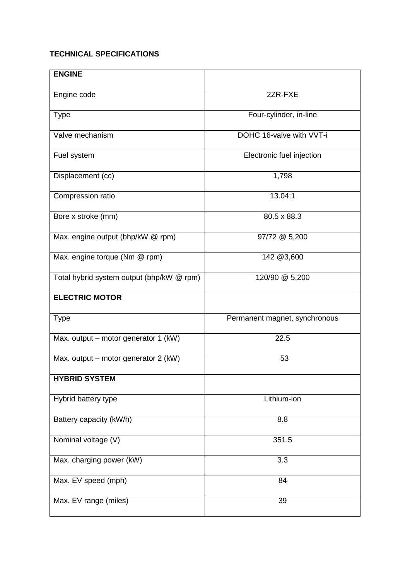## **TECHNICAL SPECIFICATIONS**

| <b>ENGINE</b>                             |                               |
|-------------------------------------------|-------------------------------|
|                                           |                               |
| Engine code                               | 2ZR-FXE                       |
| <b>Type</b>                               | Four-cylinder, in-line        |
| Valve mechanism                           | DOHC 16-valve with VVT-i      |
| Fuel system                               | Electronic fuel injection     |
| Displacement (cc)                         | 1,798                         |
| Compression ratio                         | 13.04:1                       |
| Bore x stroke (mm)                        | 80.5 x 88.3                   |
| Max. engine output (bhp/kW @ rpm)         | 97/72 @ 5,200                 |
| Max. engine torque (Nm @ rpm)             | 142 @3,600                    |
| Total hybrid system output (bhp/kW @ rpm) | 120/90 @ 5,200                |
| <b>ELECTRIC MOTOR</b>                     |                               |
| <b>Type</b>                               | Permanent magnet, synchronous |
| Max. output - motor generator 1 (kW)      | 22.5                          |
| Max. output - motor generator 2 (kW)      | 53                            |
| <b>HYBRID SYSTEM</b>                      |                               |
| Hybrid battery type                       | Lithium-ion                   |
| Battery capacity (kW/h)                   | 8.8                           |
| Nominal voltage (V)                       | 351.5                         |
| Max. charging power (kW)                  | 3.3                           |
| Max. EV speed (mph)                       | 84                            |
| Max. EV range (miles)                     | 39                            |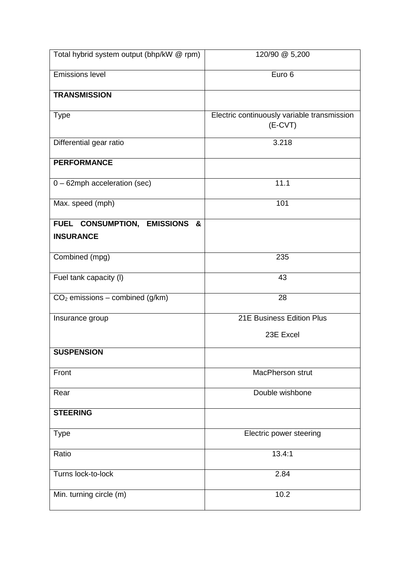| Total hybrid system output (bhp/kW @ rpm)            | 120/90 @ 5,200                                           |
|------------------------------------------------------|----------------------------------------------------------|
| <b>Emissions level</b>                               | Euro 6                                                   |
| <b>TRANSMISSION</b>                                  |                                                          |
| <b>Type</b>                                          | Electric continuously variable transmission<br>$(E-CVT)$ |
| Differential gear ratio                              | 3.218                                                    |
| <b>PERFORMANCE</b>                                   |                                                          |
| 0 - 62mph acceleration (sec)                         | 11.1                                                     |
| Max. speed (mph)                                     | 101                                                      |
| FUEL CONSUMPTION, EMISSIONS<br>&<br><b>INSURANCE</b> |                                                          |
|                                                      |                                                          |
| Combined (mpg)                                       | 235                                                      |
| Fuel tank capacity (I)                               | 43                                                       |
| $CO2$ emissions – combined (g/km)                    | 28                                                       |
| Insurance group                                      | 21E Business Edition Plus                                |
|                                                      | 23E Excel                                                |
| <b>SUSPENSION</b>                                    |                                                          |
| Front                                                | MacPherson strut                                         |
| Rear                                                 | Double wishbone                                          |
| <b>STEERING</b>                                      |                                                          |
| <b>Type</b>                                          | Electric power steering                                  |
| Ratio                                                | 13.4:1                                                   |
| Turns lock-to-lock                                   | 2.84                                                     |
| Min. turning circle (m)                              | 10.2                                                     |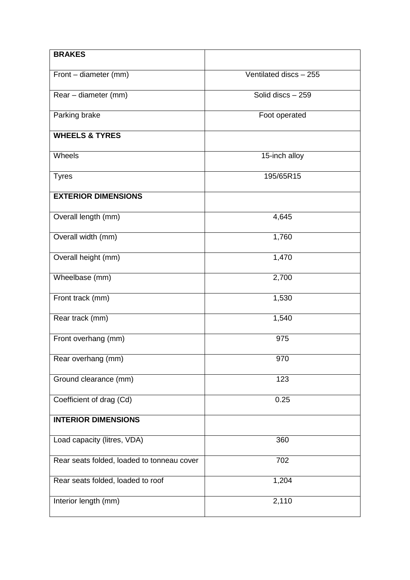| <b>BRAKES</b>                              |                        |
|--------------------------------------------|------------------------|
| Front - diameter (mm)                      | Ventilated discs - 255 |
| Rear - diameter (mm)                       | Solid discs - 259      |
| Parking brake                              | Foot operated          |
| <b>WHEELS &amp; TYRES</b>                  |                        |
| Wheels                                     | 15-inch alloy          |
| <b>Tyres</b>                               | 195/65R15              |
| <b>EXTERIOR DIMENSIONS</b>                 |                        |
| Overall length (mm)                        | 4,645                  |
| Overall width (mm)                         | 1,760                  |
| Overall height (mm)                        | 1,470                  |
| Wheelbase (mm)                             | 2,700                  |
| Front track (mm)                           | 1,530                  |
| Rear track (mm)                            | 1,540                  |
| Front overhang (mm)                        | 975                    |
| Rear overhang (mm)                         | 970                    |
| Ground clearance (mm)                      | 123                    |
| Coefficient of drag (Cd)                   | 0.25                   |
| <b>INTERIOR DIMENSIONS</b>                 |                        |
| Load capacity (litres, VDA)                | 360                    |
| Rear seats folded, loaded to tonneau cover | 702                    |
| Rear seats folded, loaded to roof          | 1,204                  |
| Interior length (mm)                       | 2,110                  |